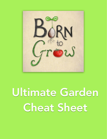

Ultimate Garden Cheat Sheet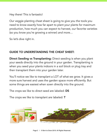Hey there! This is fantastic!

Our veggie planting cheat sheet is going to give you the tools you need to know exactly how far apart to plant your plants for maximum production, how much you can expect to harvest, our favorite varieties (so you know you're growing a winner) *and more…* 

So let's dive right in.

## GUIDE TO UNDERSTANDING THE CHEAT SHEET:

Direct Seeding vs Transplanting: Direct seeding is when you plant your seeds directly into the ground in your garden. Transplanting is when you seed your plants indoors in a soil block or plug tray and then transplant them into your garden later.

You'll notice we like to transplant a LOT of what we grow. It gives a more sure harvest and uses the garden space more efficiently. But some things are easiest when sown directly into the ground.

The crops we like to direct seed are labeled: DS

The crops we like to transplant are labeled: **T** 



## Page 2 | © Born to Grow 2019. All Rights Reserved.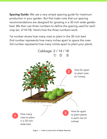**Spacing Guide:** We use a very simple spacing guide for maximum production in your garden. But first make note that our spacing recommendations are designed for growing in a 30 inch wide garden bed. We then use three numbers to define the spacing used for each crop (ex. 2/14/18). Here's how the three numbers work:

1st number shows how many rows to plant in the 30 inch bed 2nd number represents how many inches apart to space the rows 3rd number represents how many inches apart to plant your plants

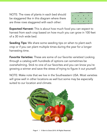NOTE: The rows of plants in each bed should be staggered like in this diagram where there are three rows staggered with each other:



**Expected Harvest:** This is about how much food you can expect to harvest from each crop based on how much you can grow in 100 feet of a 30 inch wide bed.

**Seeding Tips:** We share some seeding tips on when to plant each crop or if you can plant multiple times during the year for a longer harvesting time.

**Favorite Varieties:** These are some of our favorite varieties! Looking through a catalog with hundreds of options can sometimes be overwhelming. Stick to one of our favorites and you can know you're growing a winner and save the stress of trying to figure it out yourself.

NOTE: Make note that we live in the Southeastern USA. Most varieties will grow well in other locations as well but some may be especially suited to our location and climate.

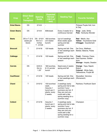| <b>Crop</b>        | <b>Direct Seed</b><br>or<br><b>Transplant</b> | <b>Spacing</b><br><b>Guide</b>                   | <b>Expected</b><br><b>Harvest</b><br>(100 ft of<br>bed)                      | <b>Seeding Tips</b>                                                                                                                                                    | <b>Favorite Varieties</b>                                                                   |
|--------------------|-----------------------------------------------|--------------------------------------------------|------------------------------------------------------------------------------|------------------------------------------------------------------------------------------------------------------------------------------------------------------------|---------------------------------------------------------------------------------------------|
| <b>Dried Beans</b> | <b>DS</b>                                     | 2/14/4                                           |                                                                              |                                                                                                                                                                        | Pinkeye Purple Hull, Iron<br>& Clay                                                         |
| <b>Green Beans</b> | <b>DS</b>                                     | 2/14/4                                           | 60lb/week                                                                    | Every 2 weeks for a<br>continuous harvest                                                                                                                              | Snap - Jade, Strike<br>Pole - Kentucky Wonder                                               |
| <b>Beets</b>       | DS or T (2-3<br>seeds per<br>block)           | DS-3/10/1<br>thin to 3<br>inches<br>$T - 3/10/6$ | 160 bunches<br>$(3-5$ beets/<br>bunch)                                       | Up to 6 seedings<br>three weeks apart,<br>spring and late<br>summer                                                                                                    | Red - Merlin, Ace<br>Yellow - Touchstone Gold<br>Chioggia - Guardsmark                      |
| <b>Broccoli</b>    | T                                             | 2/14/18                                          | 120 heads                                                                    | Spring and fall. One<br>or two seedings each<br>season                                                                                                                 | De Cicco, Waltham,<br>Belstar, Batavia, Fiesta                                              |
| <b>Cabbage</b>     | T                                             | 2/14/18                                          | 120 heads                                                                    | Spring and fall. One<br>or two seedings each<br>season                                                                                                                 | Fresh - Famosa, Farao,<br>Red Express, Golden<br>Acre<br>Storage - Impala, Deadon           |
| <b>Carrots</b>     | <b>DS</b>                                     | 6/4/0.5<br>thin to<br>1.25"                      | 180 bunches,<br>8-12 carrots/<br>bunch                                       | Seed every 2 weeks<br>spring and fall                                                                                                                                  | Orange - Yaya, Napoli,<br><b>Bolero</b><br>Colored - White Satin,<br>Yellowstone, Purple 68 |
| <b>Cauliflower</b> | T                                             | 2/14/18                                          | 120 heads                                                                    | Spring and fall. One<br>or two seedings each<br>season                                                                                                                 | Skywalker, Veronica<br>(Romansch)                                                           |
| <b>Chard</b>       | $\mathsf T$                                   | 3/10/12                                          | 150 bunches/<br>week.<br>Assume 1<br>bunch per 2<br>plants, every<br>2 weeks | 2 seedings (early<br>spring and mid to late<br>summer if your<br>summers are hot. If<br>they are cool you<br>could add a late<br>spring seeding for a<br>summer crop). | Rainbow, Fordhook Giant                                                                     |
| <b>Collard</b>     | $\mathsf T$                                   | 2/14/18                                          | Assume 1<br>bunch per 2<br>plants, every<br>2 weeks                          | 2 seedings (early<br>spring and mid to late<br>summer if your<br>summers are hot. If<br>they are cool you<br>could add a late<br>spring seeding for a<br>summer crop). | Champion                                                                                    |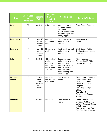| <b>Crop</b>                      | <b>Direct Seed</b><br>or<br><b>Transplant</b> | <b>Spacing</b><br><b>Guide</b>                               | <b>Expected</b><br><b>Harvest</b><br>(100 ft of<br>bed)                      | <b>Seeding Tips</b>                                                                                                                                                    | <b>Favorite Varieties</b>                                                                                                                                                                          |
|----------------------------------|-----------------------------------------------|--------------------------------------------------------------|------------------------------------------------------------------------------|------------------------------------------------------------------------------------------------------------------------------------------------------------------------|----------------------------------------------------------------------------------------------------------------------------------------------------------------------------------------------------|
| Corn                             | <b>DS</b>                                     | 2/14/12                                                      | 8 dozen ears                                                                 | Must be grown in<br>blocks for proper<br>pollination.<br>Succession plantings<br>two weeks apart for a<br>steady supply                                                | Silver Queen, Popcorn                                                                                                                                                                              |
| <b>Cucumbers</b>                 | T                                             | 1 row, 18<br>inches<br>between<br>plants                     | Assume 5-10<br>cucumbers/<br>plant                                           | 2 seedings, early<br>spring and mid<br>summer                                                                                                                          | Marketmore, Corinto,<br>Lemon                                                                                                                                                                      |
| <b>Eggplant</b>                  | $\mathsf{T}$                                  | 1 row, 18<br>inches<br>between<br>plants                     | 65 eggplant/<br>week                                                         | 1 or 2 seedings, early<br>spring and mid<br>summer                                                                                                                     | Black Beauty, Nubia,<br>Traviata, Gretel, Hansel,<br><b>Fairy Tale</b>                                                                                                                             |
| <b>Kale</b>                      | T                                             | 3/10/12                                                      | 150 bunches/<br>week.<br>Assume 1<br>bunch per 2<br>plants, every<br>2 weeks | 2 seedings (early<br>spring and mid to late<br>summer if your<br>summers are hot. If<br>they are cool you<br>could add a late<br>spring seeding for a<br>summer crop). | Ripper, Lacinato,<br>Siberian, Red & White<br>Russian, Curly Roja                                                                                                                                  |
| <b>Romaine</b><br><b>Lettuce</b> | T                                             | 3/10/12 for<br>large<br>heads<br>4/8/6 for<br>small<br>heads | 360 large<br>heads or 800<br>small heads                                     | Seed every two<br>weeks                                                                                                                                                | Green Large - Ridgeline,<br>Holon, Green Towers,<br>Coastal Star, Jericho<br>Green Mini - Ansar,<br>Dragoon<br>Red Large - Rouge<br>d'Hiver<br>Red Mini - Breen,<br>Pomogranate Crunch,<br>Truchas |
| <b>Leaf Lettuce</b>              | T                                             | 3/10/12                                                      | 360 heads                                                                    | Seed every two<br>weeks                                                                                                                                                | Green - Black Seeded<br>Simpson, Waldmann's,<br>Lettony, Bergam's Green,<br>Muir, Nevada<br>Red - Vulcan, New Red<br>Fire, Red Sails, Magenta                                                      |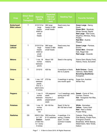| <b>Crop</b>                        | <b>Direct Seed</b><br>or<br><b>Transplant</b> | <b>Spacing</b><br><b>Guide</b>                                               | <b>Expected</b><br><b>Harvest</b><br>(100 ft of<br>bed)    | <b>Seeding Tips</b>                                                                | <b>Favorite Varieties</b>                                                                                                                                                                 |
|------------------------------------|-----------------------------------------------|------------------------------------------------------------------------------|------------------------------------------------------------|------------------------------------------------------------------------------------|-------------------------------------------------------------------------------------------------------------------------------------------------------------------------------------------|
| Butterhead/<br><b>Bibb Lettuce</b> | T                                             | 3/10/12 for<br>large<br>heads<br>4/8/6 for<br>small<br>heads                 | 360 large<br>heads or 800<br>small heads                   | Seed every two<br>weeks                                                            | Green Large - Nancy,<br>Kweik<br>Green Mini - Spretnak,<br>Winter Density, Bambi<br>Red Large - Red Cross,<br>Skyphos, Alkindus, Roxy,<br><b>Pirates</b><br>Red Mini - Austral,<br>Rhazes |
| <b>Oakleaf</b><br><b>Lettuce</b>   | T.                                            | 3/10/12 for<br>large<br>heads<br>$4/8/6$ for<br>small<br>heads               | 360 large<br>heads or 800<br>small heads                   | Seed every two<br>weeks                                                            | Green Large - Panisse,<br>Encino<br><b>Green Mini - Emerald</b><br>Oak, Regal Oak<br>Red Large - Oscarde                                                                                  |
| <b>Melons</b>                      | T                                             | 1 row, 18<br>inches<br>between<br>plants                                     | About 100<br>melons                                        | Seed in the spring                                                                 | Edens Gem (Rocky Ford),<br>Halona, Arava, SunJewel                                                                                                                                        |
| <b>Onions</b>                      | T                                             | 3/10/10                                                                      | 420 lbs                                                    | 5 seed/pot or block,<br>thin to 3 plants                                           | <b>Bulb Onions - Candy,</b><br>Valencia, Walla Walla<br><b>Bunching (Scallions) -</b><br>Evergreen                                                                                        |
| <b>Peas</b>                        | <b>DS</b>                                     | 1 row, 1/2"<br>between<br>seeds.<br>Thin to 1<br>plant every<br>4 inches     | 272 lbs                                                    | 2 seedings in spring,<br>one month apart                                           | Sugar Ann, Austrian<br><b>Winter Pea</b>                                                                                                                                                  |
| <b>Peppers</b>                     | T.                                            | $1$ row, $9$<br>inches<br>between<br>plants                                  | 120 peppers/<br>week.<br>Assume 1<br>pepper/plant/<br>week | 1 or 2 seedings, early<br>spring and mid<br>summer                                 | Sweet - Corno di Toro,<br>Carmen, Oranos<br>Hot - Hungarian Hot Wax,<br>Jalapeño                                                                                                          |
| <b>Potatoes</b>                    | <b>DS</b>                                     | 1 row, 12<br>inches<br>apart in<br>row                                       | 60-100 lbs                                                 | Seed 10 lbs for<br>80-100 feet of bed                                              | White - Kennebec<br>Yellow - Yukon Gold<br><b>Red</b> - Red La Soda,<br><b>Purple Viking</b>                                                                                              |
| <b>Radishes</b>                    | <b>DS</b>                                     | 6/6/0.5 thin<br>to 1.25"<br>Daikon:<br>2/18/2 thin<br>to 1 every<br>4 inches | 300 bunches.<br>6-12 radishes/<br>bunch                    | 4 seedings, 2 in<br>spring, 3 weeks<br>apart. 2 in late<br>summer 6 weeks<br>apart | Celesta, Cherry Belle,<br>Pink Beauty, Purple Plum,<br>D'Avignon (French<br>Breakfast), White Beauty,<br>Watermelon, Nero Tondo,<br>Daikon                                                |